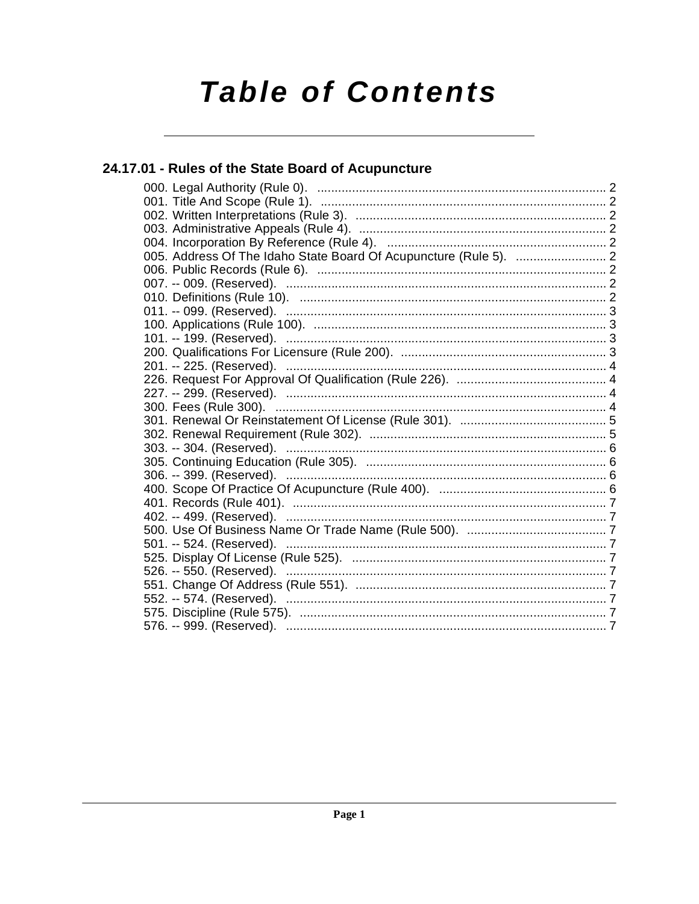# **Table of Contents**

## 24.17.01 - Rules of the State Board of Acupuncture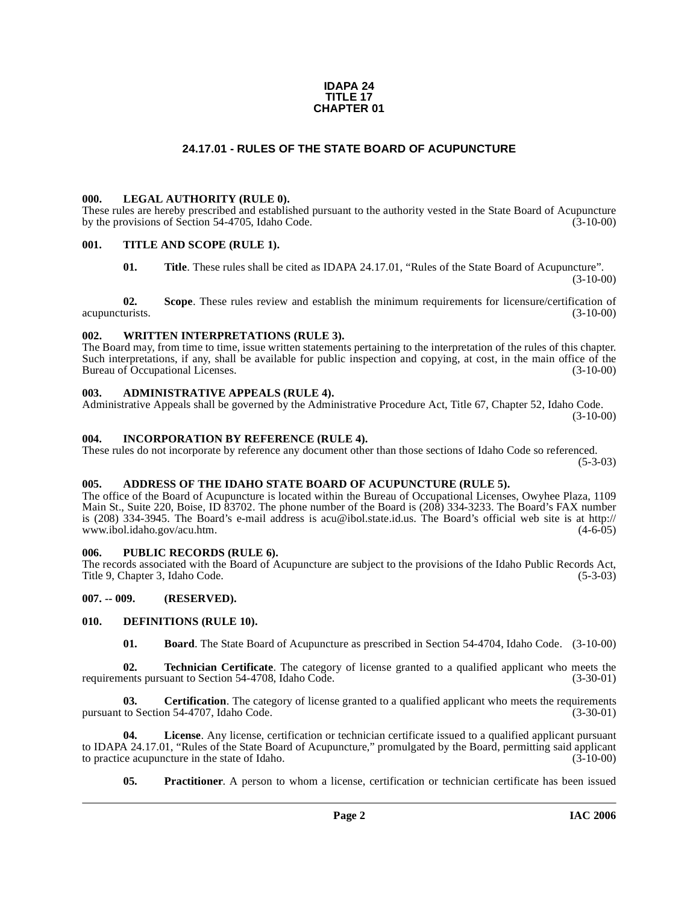#### **IDAPA 24 TITLE 17 CHAPTER 01**

#### **24.17.01 - RULES OF THE STATE BOARD OF ACUPUNCTURE**

#### <span id="page-1-1"></span><span id="page-1-0"></span>**000. LEGAL AUTHORITY (RULE 0).**

These rules are hereby prescribed and established pursuant to the authority vested in the State Board of Acupuncture by the provisions of Section 54-4705, Idaho Code. (3-10-00)

#### <span id="page-1-2"></span>**001. TITLE AND SCOPE (RULE 1).**

**01. Title**. These rules shall be cited as IDAPA 24.17.01, "Rules of the State Board of Acupuncture".  $(3-10-00)$ 

**02.** Scope. These rules review and establish the minimum requirements for licensure/certification of turists. (3-10-00) acupuncturists.

#### <span id="page-1-3"></span>**002. WRITTEN INTERPRETATIONS (RULE 3).**

The Board may, from time to time, issue written statements pertaining to the interpretation of the rules of this chapter. Such interpretations, if any, shall be available for public inspection and copying, at cost, in the main office of the Bureau of Occupational Licenses. (3-10-00) Bureau of Occupational Licenses.

#### <span id="page-1-4"></span>**003. ADMINISTRATIVE APPEALS (RULE 4).**

Administrative Appeals shall be governed by the Administrative Procedure Act, Title 67, Chapter 52, Idaho Code. (3-10-00)

#### <span id="page-1-5"></span>**004. INCORPORATION BY REFERENCE (RULE 4).**

These rules do not incorporate by reference any document other than those sections of Idaho Code so referenced.  $(5-3-03)$ 

#### <span id="page-1-6"></span>**005. ADDRESS OF THE IDAHO STATE BOARD OF ACUPUNCTURE (RULE 5).**

[The office of the Board of Acupuncture is located within the Bureau of Occupational Licenses, Owyhee Plaza, 1109](http://avu@ibol.idaho.gov)  Main St., Suite 220, Boise, ID 83702. The phone number of the Board is (208) 334-3233. The Board's FAX number [is \(208\) 334-3945. The Board's e-mail address is acu@ibol.state.id.us. The Board's official web site is at](http://avu@ibol.idaho.gov) [http://](http://www.ibol.idaho.gov/acu.htm) [www.ibol.idaho.gov/acu.htm.](http://www.ibol.idaho.gov/acu.htm)

#### <span id="page-1-7"></span>**006. PUBLIC RECORDS (RULE 6).**

The records associated with the Board of Acupuncture are subject to the provisions of the Idaho Public Records Act, Title 9, Chapter 3, Idaho Code.

#### <span id="page-1-8"></span>**007. -- 009. (RESERVED).**

#### <span id="page-1-9"></span>**010. DEFINITIONS (RULE 10).**

<span id="page-1-13"></span><span id="page-1-11"></span><span id="page-1-10"></span>**01. Board**. The State Board of Acupuncture as prescribed in Section 54-4704, Idaho Code. (3-10-00)

**02. Technician Certificate**. The category of license granted to a qualified applicant who meets the ents pursuant to Section 54-4708, Idaho Code. (3-30-01) requirements pursuant to Section 54-4708, Idaho Code.

**03.** Certification. The category of license granted to a qualified applicant who meets the requirements pursuant to Section 54-4707, Idaho Code. (3-30-01)

**04. License**. Any license, certification or technician certificate issued to a qualified applicant pursuant to IDAPA 24.17.01, "Rules of the State Board of Acupuncture," promulgated by the Board, permitting said applicant to practice acupuncture in the state of Idaho.  $(3-10-00)$ 

<span id="page-1-12"></span>**05.** Practitioner. A person to whom a license, certification or technician certificate has been issued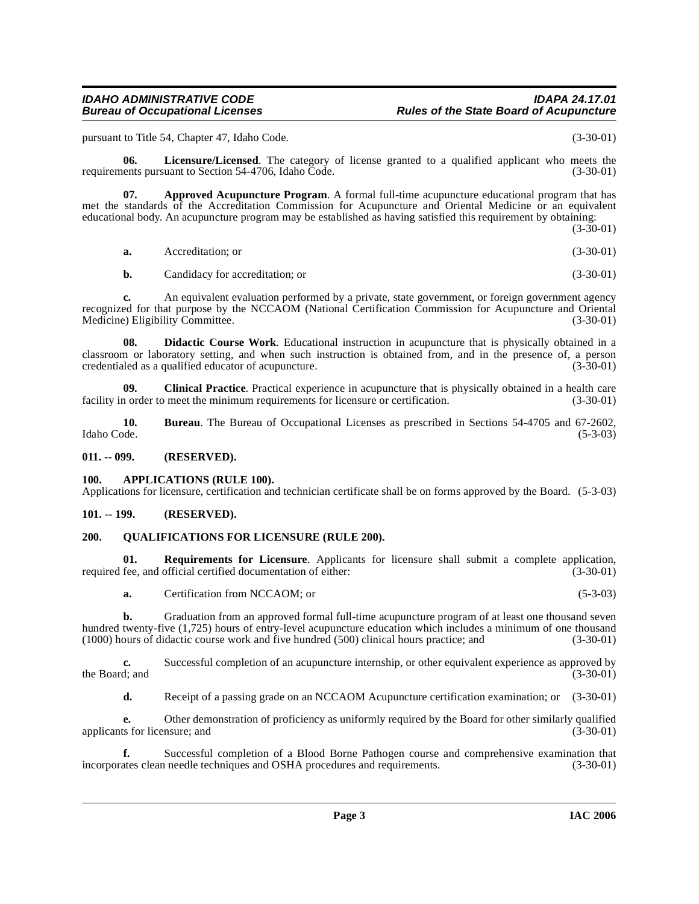#### **IDAHO ADMINISTRATIVE CODE IDAPA 24.17.01 Rules of the State Board of Acupuncture**

pursuant to Title 54, Chapter 47, Idaho Code. (3-30-01)

<span id="page-2-7"></span>**06.** Licensure/Licensed. The category of license granted to a qualified applicant who meets the ents pursuant to Section 54-4706. Idaho Code. (3-30-01) requirements pursuant to Section 54-4706, Idaho Code.

**07. Approved Acupuncture Program**. A formal full-time acupuncture educational program that has met the standards of the Accreditation Commission for Acupuncture and Oriental Medicine or an equivalent educational body. An acupuncture program may be established as having satisfied this requirement by obtaining:

<span id="page-2-5"></span>(3-30-01) **a.** Accreditation; or (3-30-01)

<span id="page-2-6"></span>**b.** Candidacy for accreditation; or (3-30-01)

**c.** An equivalent evaluation performed by a private, state government, or foreign government agency recognized for that purpose by the NCCAOM (National Certification Commission for Acupuncture and Oriental Medicine) Eligibility Committee. (3-30-01) Medicine) Eligibility Committee.

**08. Didactic Course Work**. Educational instruction in acupuncture that is physically obtained in a classroom or laboratory setting, and when such instruction is obtained from, and in the presence of, a person credentialed as a qualified educator of acupuncture. credentialed as a qualified educator of acupuncture.

**09.** Clinical Practice. Practical experience in acupuncture that is physically obtained in a health care in order to meet the minimum requirements for licensure or certification. (3-30-01) facility in order to meet the minimum requirements for licensure or certification.

**10. 10. Bureau**. The Bureau of Occupational Licenses as prescribed in Sections 54-4705 and 67-2602, Idaho Code. (5-3-03) Idaho Code. (5-3-03)

<span id="page-2-0"></span>**011. -- 099. (RESERVED).**

#### <span id="page-2-4"></span><span id="page-2-1"></span>**100. APPLICATIONS (RULE 100).**

Applications for licensure, certification and technician certificate shall be on forms approved by the Board. (5-3-03)

#### <span id="page-2-2"></span>**101. -- 199. (RESERVED).**

#### <span id="page-2-8"></span><span id="page-2-3"></span>**200. QUALIFICATIONS FOR LICENSURE (RULE 200).**

**01. Requirements for Licensure**. Applicants for licensure shall submit a complete application, required fee, and official certified documentation of either: (3-30-01)

<span id="page-2-9"></span>**a.** Certification from NCCAOM; or (5-3-03)

**b.** Graduation from an approved formal full-time acupuncture program of at least one thousand seven hundred twenty-five (1,725) hours of entry-level acupuncture education which includes a minimum of one thousand<br>(1000) hours of didactic course work and five hundred (500) clinical hours practice; and (3-30-01)  $(1000)$  hours of didactic course work and five hundred  $(500)$  clinical hours practice; and

**c.** Successful completion of an acupuncture internship, or other equivalent experience as approved by the Board; and  $(3-30-01)$ 

**d.** Receipt of a passing grade on an NCCAOM Acupuncture certification examination; or (3-30-01)

**e.** Other demonstration of proficiency as uniformly required by the Board for other similarly qualified ts for licensure; and (3-30-01) applicants for licensure; and

**f.** Successful completion of a Blood Borne Pathogen course and comprehensive examination that ates clean needle techniques and OSHA procedures and requirements. (3-30-01) incorporates clean needle techniques and OSHA procedures and requirements.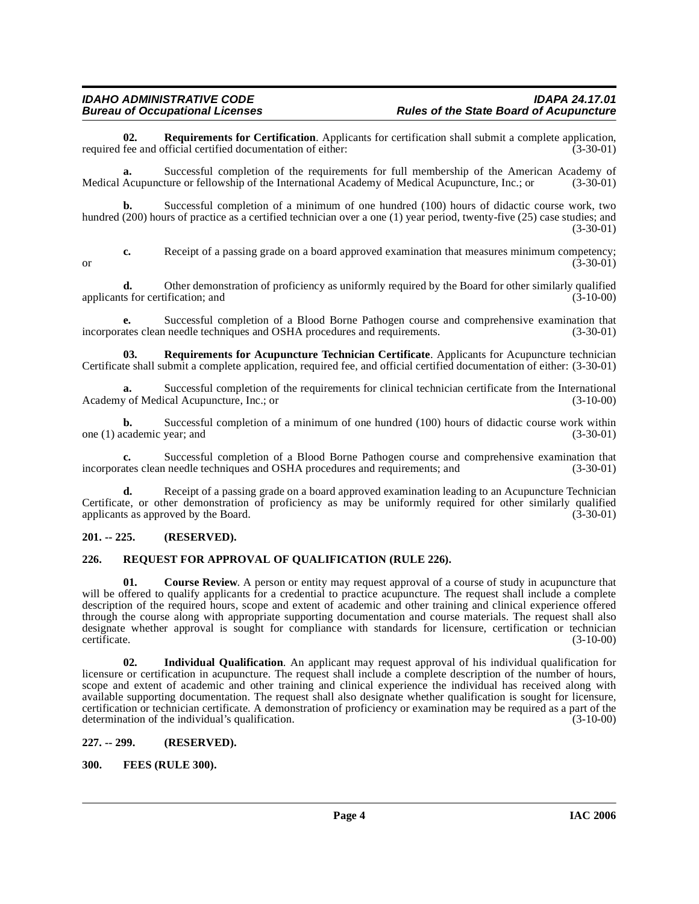<span id="page-3-8"></span>**02. Requirements for Certification**. Applicants for certification shall submit a complete application, fee and official certified documentation of either: (3-30-01) required fee and official certified documentation of either:

**a.** Successful completion of the requirements for full membership of the American Academy of Medical Acupuncture or fellowship of the International Academy of Medical Acupuncture, Inc.; or (3-30-01)

**b.** Successful completion of a minimum of one hundred (100) hours of didactic course work, two hundred (200) hours of practice as a certified technician over a one (1) year period, twenty-five (25) case studies; and (3-30-01)

**c.** Receipt of a passing grade on a board approved examination that measures minimum competency;<br>(3-30-01) or  $(3-30-01)$ 

**d.** Other demonstration of proficiency as uniformly required by the Board for other similarly qualified applicants for certification; and (3-10-00)

**e.** Successful completion of a Blood Borne Pathogen course and comprehensive examination that ates clean needle techniques and OSHA procedures and requirements. (3-30-01) incorporates clean needle techniques and OSHA procedures and requirements.

<span id="page-3-7"></span>**03. Requirements for Acupuncture Technician Certificate**. Applicants for Acupuncture technician Certificate shall submit a complete application, required fee, and official certified documentation of either: (3-30-01)

**a.** Successful completion of the requirements for clinical technician certificate from the International y of Medical Acupuncture, Inc.; or Academy of Medical Acupuncture, Inc.; or

**b.** Successful completion of a minimum of one hundred (100) hours of didactic course work within cademic year; and (3-30-01) one (1) academic year; and

**c.** Successful completion of a Blood Borne Pathogen course and comprehensive examination that incorporates clean needle techniques and OSHA procedures and requirements; and (3-30-01)

**d.** Receipt of a passing grade on a board approved examination leading to an Acupuncture Technician Certificate, or other demonstration of proficiency as may be uniformly required for other similarly qualified applicants as approved by the Board.  $(3-30-01)$ 

#### <span id="page-3-0"></span>**201. -- 225. (RESERVED).**

#### <span id="page-3-6"></span><span id="page-3-1"></span>**226. REQUEST FOR APPROVAL OF QUALIFICATION (RULE 226).**

<span id="page-3-4"></span>**01.** Course Review. A person or entity may request approval of a course of study in acupuncture that will be offered to qualify applicants for a credential to practice acupuncture. The request shall include a complete description of the required hours, scope and extent of academic and other training and clinical experience offered through the course along with appropriate supporting documentation and course materials. The request shall also designate whether approval is sought for compliance with standards for licensure, certification or technician certificate. (3-10-00) certificate. (3-10-00)

**02. Individual Qualification**. An applicant may request approval of his individual qualification for licensure or certification in acupuncture. The request shall include a complete description of the number of hours, scope and extent of academic and other training and clinical experience the individual has received along with available supporting documentation. The request shall also designate whether qualification is sought for licensure, certification or technician certificate. A demonstration of proficiency or examination may be required as a part of the determination of the individual's qualification. (3-10-00)

#### <span id="page-3-2"></span>**227. -- 299. (RESERVED).**

#### <span id="page-3-5"></span><span id="page-3-3"></span>**300. FEES (RULE 300).**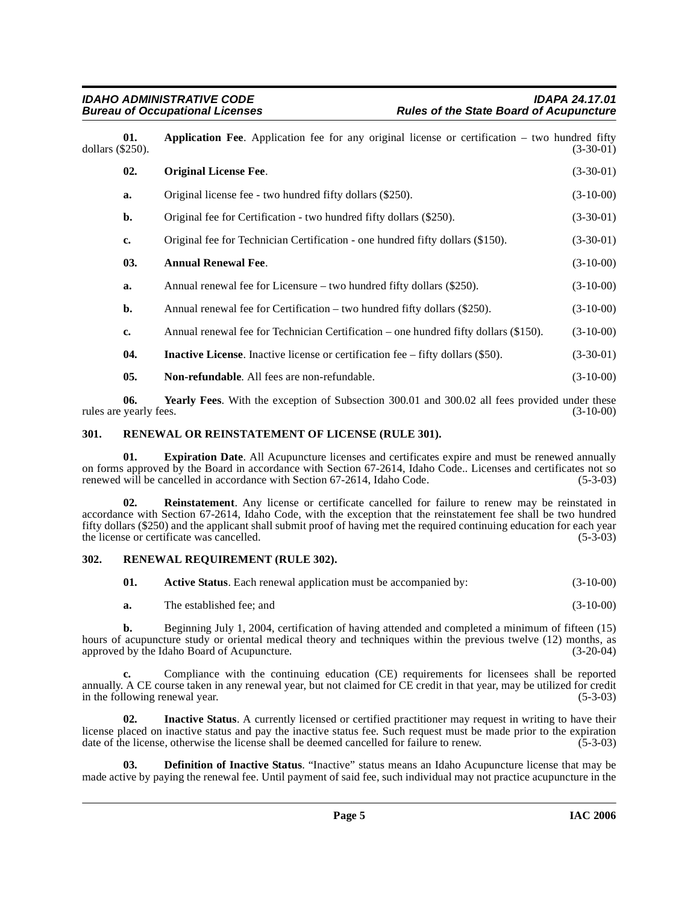<span id="page-4-9"></span><span id="page-4-4"></span><span id="page-4-3"></span>

| dollars $(\$250)$ . | 01. | <b>Application Fee.</b> Application fee for any original license or certification – two hundred fifty | $(3-30-01)$ |
|---------------------|-----|-------------------------------------------------------------------------------------------------------|-------------|
|                     | 02. | <b>Original License Fee.</b>                                                                          | $(3-30-01)$ |
|                     | a.  | Original license fee - two hundred fifty dollars (\$250).                                             | $(3-10-00)$ |
|                     | b.  | Original fee for Certification - two hundred fifty dollars (\$250).                                   | $(3-30-01)$ |
|                     | c.  | Original fee for Technician Certification - one hundred fifty dollars (\$150).                        | $(3-30-01)$ |
|                     | 03. | <b>Annual Renewal Fee.</b>                                                                            | $(3-10-00)$ |
|                     | a.  | Annual renewal fee for Licensure – two hundred fifty dollars $(\$250)$ .                              | $(3-10-00)$ |
|                     | b.  | Annual renewal fee for Certification – two hundred fifty dollars $(\$250)$ .                          | $(3-10-00)$ |
|                     | c.  | Annual renewal fee for Technician Certification – one hundred fifty dollars (\$150).                  | $(3-10-00)$ |
|                     | 04. | <b>Inactive License</b> . Inactive license or certification fee – fifty dollars (\$50).               | $(3-30-01)$ |
|                     | 05. | <b>Non-refundable.</b> All fees are non-refundable.                                                   | $(3-10-00)$ |
|                     |     |                                                                                                       |             |

<span id="page-4-8"></span><span id="page-4-6"></span>**06. Yearly Fees**. With the exception of Subsection 300.01 and 300.02 all fees provided under these rules are yearly fees.  $(3-10-00)$ 

#### <span id="page-4-11"></span><span id="page-4-0"></span>**301. RENEWAL OR REINSTATEMENT OF LICENSE (RULE 301).**

**01. Expiration Date**. All Acupuncture licenses and certificates expire and must be renewed annually on forms approved by the Board in accordance with Section 67-2614, Idaho Code.. Licenses and certificates not so renewed will be cancelled in accordance with Section 67-2614, Idaho Code.

<span id="page-4-10"></span>**02. Reinstatement**. Any license or certificate cancelled for failure to renew may be reinstated in accordance with Section 67-2614, Idaho Code, with the exception that the reinstatement fee shall be two hundred fifty dollars (\$250) and the applicant shall submit proof of having met the required continuing education for each year the license or certificate was cancelled.

#### <span id="page-4-1"></span>**302. RENEWAL REQUIREMENT (RULE 302).**

<span id="page-4-12"></span><span id="page-4-2"></span>

| -01. | <b>Active Status.</b> Each renewal application must be accompanied by: | $(3-10-00)$ |
|------|------------------------------------------------------------------------|-------------|
| а.   | The established fee; and                                               | $(3-10-00)$ |

**b.** Beginning July 1, 2004, certification of having attended and completed a minimum of fifteen (15) hours of acupuncture study or oriental medical theory and techniques within the previous twelve (12) months, as<br>(3-20-04) (3-20-04) approved by the Idaho Board of Acupuncture.

**c.** Compliance with the continuing education (CE) requirements for licensees shall be reported annually. A CE course taken in any renewal year, but not claimed for CE credit in that year, may be utilized for credit in the following renewal year. (5-3-03) in the following renewal year.

<span id="page-4-7"></span>**Inactive Status**. A currently licensed or certified practitioner may request in writing to have their license placed on inactive status and pay the inactive status fee. Such request must be made prior to the expiration date of the license, otherwise the license shall be deemed cancelled for failure to renew. (5-3-03) date of the license, otherwise the license shall be deemed cancelled for failure to renew.

<span id="page-4-5"></span>**03. Definition of Inactive Status**. "Inactive" status means an Idaho Acupuncture license that may be made active by paying the renewal fee. Until payment of said fee, such individual may not practice acupuncture in the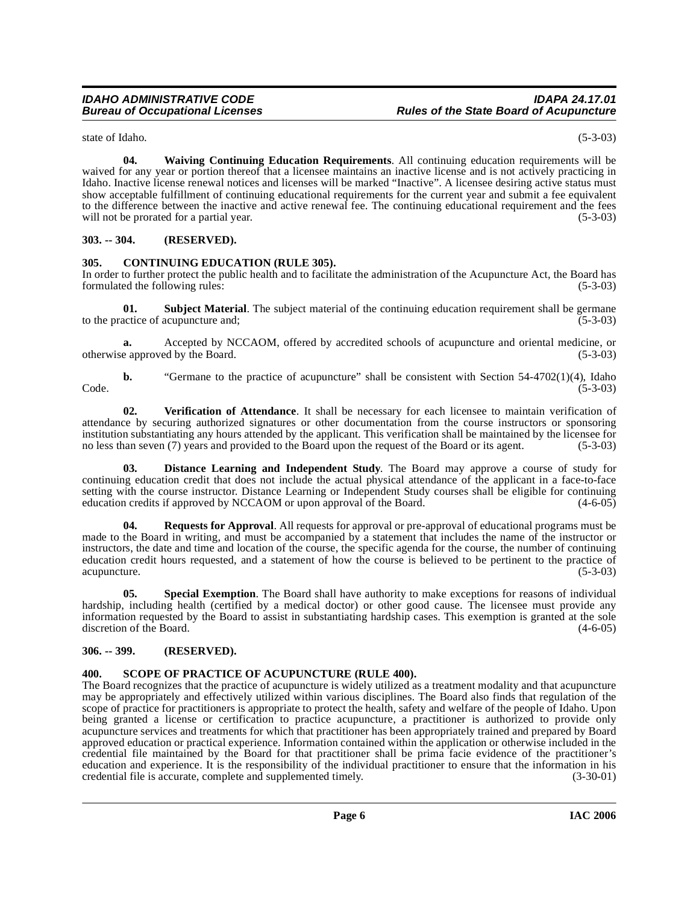<span id="page-5-10"></span>**04. Waiving Continuing Education Requirements**. All continuing education requirements will be waived for any year or portion thereof that a licensee maintains an inactive license and is not actively practicing in Idaho. Inactive license renewal notices and licenses will be marked "Inactive". A licensee desiring active status must show acceptable fulfillment of continuing educational requirements for the current year and submit a fee equivalent to the difference between the inactive and active renewal fee. The continuing educational requirement and the fees will not be prorated for a partial year. (5-3-03)

#### <span id="page-5-0"></span>**303. -- 304. (RESERVED).**

#### <span id="page-5-4"></span><span id="page-5-1"></span>**305. CONTINUING EDUCATION (RULE 305).**

In order to further protect the public health and to facilitate the administration of the Acupuncture Act, the Board has formulated the following rules: (5-3-03)

**01. Subject Material**. The subject material of the continuing education requirement shall be germane actice of acupuncture and: (5-3-03) to the practice of acupuncture and;

**a.** Accepted by NCCAOM, offered by accredited schools of acupuncture and oriental medicine, or otherwise approved by the Board. (5-3-03)

**b.** "Germane to the practice of acupuncture" shall be consistent with Section 54-4702(1)(4), Idaho (5-3-03)  $\text{Code.}$  (5-3-03)

<span id="page-5-9"></span>**02. Verification of Attendance**. It shall be necessary for each licensee to maintain verification of attendance by securing authorized signatures or other documentation from the course instructors or sponsoring institution substantiating any hours attended by the applicant. This verification shall be maintained by the licensee for<br>no less than seven (7) years and provided to the Board upon the request of the Board or its agent. ( no less than seven (7) years and provided to the Board upon the request of the Board or its agent.

<span id="page-5-5"></span>**03. Distance Learning and Independent Study**. The Board may approve a course of study for continuing education credit that does not include the actual physical attendance of the applicant in a face-to-face setting with the course instructor. Distance Learning or Independent Study courses shall be eligible for continuing education credits if approved by NCCAOM or upon approval of the Board. (4-6-05)

<span id="page-5-6"></span>**04. Requests for Approval**. All requests for approval or pre-approval of educational programs must be made to the Board in writing, and must be accompanied by a statement that includes the name of the instructor or instructors, the date and time and location of the course, the specific agenda for the course, the number of continuing education credit hours requested, and a statement of how the course is believed to be pertinent to the practice of acupuncture. (5-3-03)

<span id="page-5-8"></span>**05. Special Exemption**. The Board shall have authority to make exceptions for reasons of individual hardship, including health (certified by a medical doctor) or other good cause. The licensee must provide any information requested by the Board to assist in substantiating hardship cases. This exemption is granted at the sole discretion of the Board.  $(4-6-05)$ 

#### <span id="page-5-2"></span>**306. -- 399. (RESERVED).**

#### <span id="page-5-7"></span><span id="page-5-3"></span>**400. SCOPE OF PRACTICE OF ACUPUNCTURE (RULE 400).**

The Board recognizes that the practice of acupuncture is widely utilized as a treatment modality and that acupuncture may be appropriately and effectively utilized within various disciplines. The Board also finds that regulation of the scope of practice for practitioners is appropriate to protect the health, safety and welfare of the people of Idaho. Upon being granted a license or certification to practice acupuncture, a practitioner is authorized to provide only acupuncture services and treatments for which that practitioner has been appropriately trained and prepared by Board approved education or practical experience. Information contained within the application or otherwise included in the credential file maintained by the Board for that practitioner shall be prima facie evidence of the practitioner's education and experience. It is the responsibility of the individual practitioner to ensure that the information in his credential file is accurate, complete and supplemented timely. (3-30-01) credential file is accurate, complete and supplemented timely.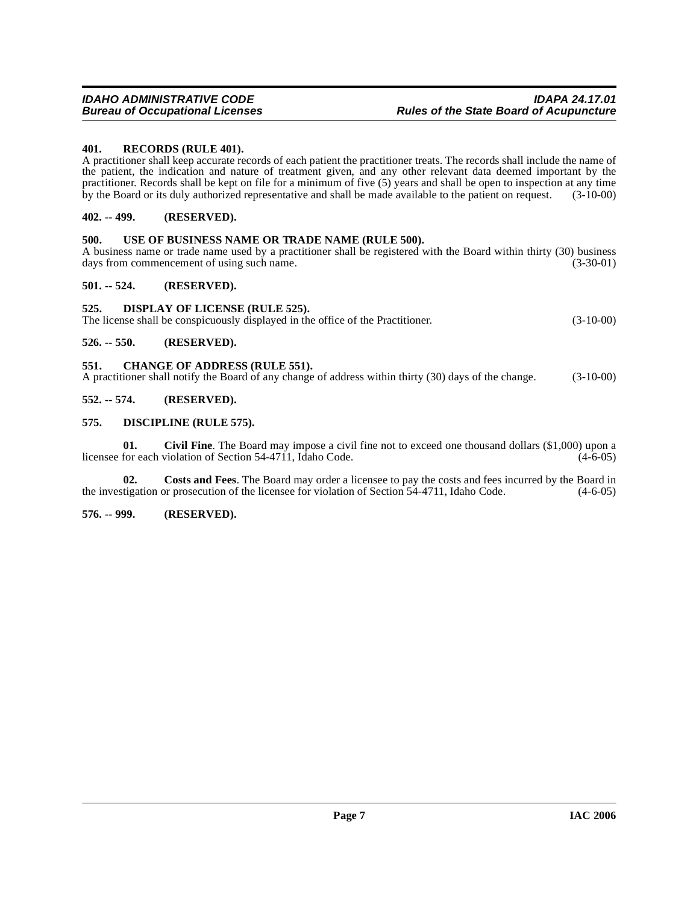#### <span id="page-6-12"></span><span id="page-6-0"></span>**401. RECORDS (RULE 401).**

A practitioner shall keep accurate records of each patient the practitioner treats. The records shall include the name of the patient, the indication and nature of treatment given, and any other relevant data deemed important by the practitioner. Records shall be kept on file for a minimum of five (5) years and shall be open to inspection at any time by the Board or its duly authorized representative and shall be made available to the patient on request. (3-10-00)

#### <span id="page-6-1"></span>**402. -- 499. (RESERVED).**

#### <span id="page-6-13"></span><span id="page-6-2"></span>**500. USE OF BUSINESS NAME OR TRADE NAME (RULE 500).**

A business name or trade name used by a practitioner shall be registered with the Board within thirty (30) business days from commencement of using such name. (3-30-01) days from commencement of using such name.

#### <span id="page-6-3"></span>**501. -- 524. (RESERVED).**

#### <span id="page-6-11"></span><span id="page-6-4"></span>**525. DISPLAY OF LICENSE (RULE 525).**

The license shall be conspicuously displayed in the office of the Practitioner. (3-10-00)

#### <span id="page-6-5"></span>**526. -- 550. (RESERVED).**

#### <span id="page-6-10"></span><span id="page-6-6"></span>**551. CHANGE OF ADDRESS (RULE 551).**

A practitioner shall notify the Board of any change of address within thirty (30) days of the change. (3-10-00)

#### <span id="page-6-7"></span>**552. -- 574. (RESERVED).**

#### <span id="page-6-8"></span>**575. DISCIPLINE (RULE 575).**

**01. Civil Fine**. The Board may impose a civil fine not to exceed one thousand dollars (\$1,000) upon a licensee for each violation of Section 54-4711, Idaho Code. (4-6-05)

**02. Costs and Fees**. The Board may order a licensee to pay the costs and fees incurred by the Board in the investigation or prosecution of the licensee for violation of Section 54-4711, Idaho Code. (4-6-05)

#### <span id="page-6-9"></span>**576. -- 999. (RESERVED).**